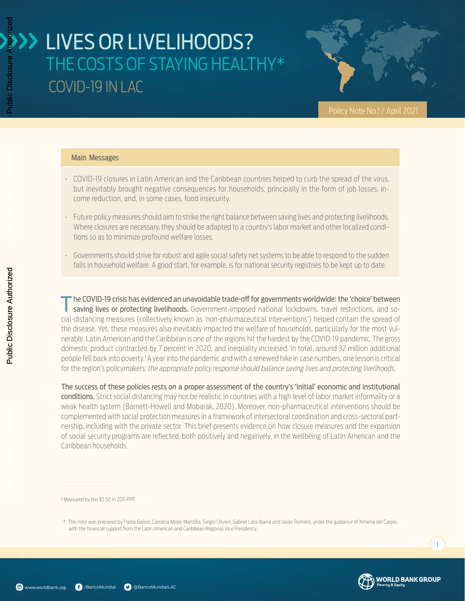Policy Note No.1 / April 2021

#### Main Messages

- COVID-19 closures in Latin American and the Caribbean countries helped to curb the spread of the virus, but inevitably brought negative consequences for households, principally in the form of job losses, income reduction, and, in some cases, food insecurity.
- Future policy measures should aim to strike the right balance between saving lives and protecting livelihoods. Where closures are necessary, they should be adapted to a country's labor market and other localized conditions so as to minimize profound welfare losses.
- Governments should strive for robust and agile social safety net systems to be able to respond to the sudden falls in household welfare. A good start, for example, is for national security registries to be kept up to date.

The COVID-19 crisis has evidenced an unavoidable trade-off for governments worldwide: the 'choice' between saving lives or protecting livelihoods. Government-imposed national lockdowns, travel restrictions, and social-distancing measures (collectively known as 'non-pharmaceutical interventions') helped contain the spread of the disease. Yet, these measures also inevitably impacted the welfare of households, particularly for the most vulnerable. Latin American and the Caribbean is one of the regions hit the hardest by the COVID-19 pandemic. The gross domestic product contracted by 7 percent in 2020, and inequality increased. In total, around 32 million additional people fell back into poverty.<sup>1</sup> A year into the pandemic and with a renewed hike in case numbers, one lesson is critical for the region's policymakers: *the appropriate policy response should balance saving lives and protecting livelihoods.*

The success of these policies rests on a proper assessment of the country's 'initial' economic and institutional conditions. Strict social distancing may not be realistic in countries with a high level of labor market informality or a weak health system (Barnett-Howell and Mobarak, 2020). Moreover, non-pharmaceutical interventions should be complemented with social protection measures in a framework of intersectoral coordination and cross-sectoral partnership, including with the private sector. This brief presents evidence on how closure measures and the expansion of social security programs are reflected, both positively and negatively, in the wellbeing of Latin American and the Caribbean households.

1 Measured by the \$5.50 in 2011 PPP.

\* This note was prepared by Paola Ballon, Carolina Mejía-Mantilla, Sergio Olivieri, Gabriel Lara Ibarra and Javier Romero, under the guidance of Ximena del Carpio, with the financial support from the Latin American and Caribbean Regional Vice Presidency.



 $\overline{1}$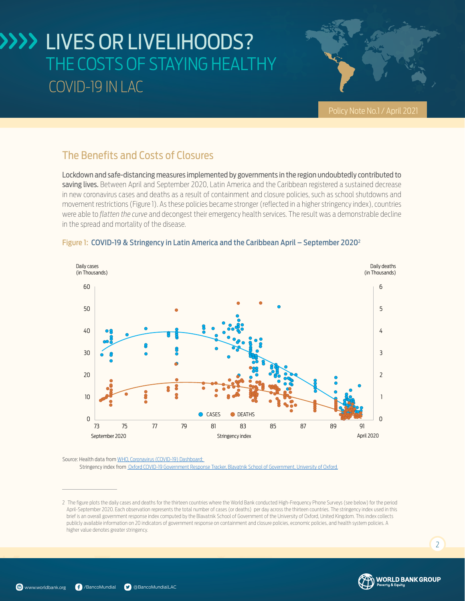

Policy Note No.1 / April 2021

### The Benefits and Costs of Closures

Lockdown and safe-distancing measures implemented by governments in the region undoubtedly contributed to saving lives. Between April and September 2020, Latin America and the Caribbean registered a sustained decrease in new coronavirus cases and deaths as a result of containment and closure policies, such as school shutdowns and movement restrictions (Figure 1). As these policies became stronger (reflected in a higher stringency index), countries were able to *flatten the curve* and decongest their emergency health services. The result was a demonstrable decline in the spread and mortality of the disease.



#### Figure 1: COVID-19 & Stringency in Latin America and the Caribbean April – September 20202

Source: Health data from [WHO, Coronavirus \(COVID-19\) Dashboard;](https://covid19.who.int/)  Stringency index from [Oxford COVID-19 Government Response Tracker, Blavatnik School of Government, University of Oxford.](https://www.bsg.ox.ac.uk/research/research-projects/covid-19-government-response-tracker)

 $\overline{2}$ 



<sup>2</sup> The figure plots the daily cases and deaths for the thirteen countries where the World Bank conducted High-Frequency Phone Surveys (see below) for the period April-September 2020. Each observation represents the total number of cases (or deaths) per day across the thirteen countries. The stringency index used in this brief is an overall government response index computed by the Blavatnik School of Government of the University of Oxford, United Kingdom. This index collects publicly available information on 20 indicators of government response on containment and closure policies, economic policies, and health system policies. A higher value denotes greater stringency.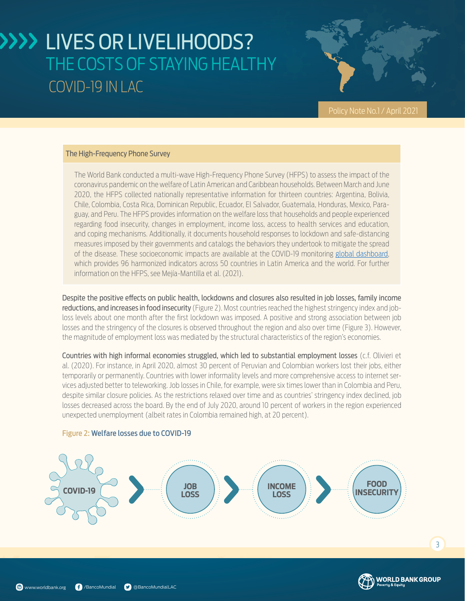

Policy Note No.1 / April 2021

#### The High-Frequency Phone Survey

The World Bank conducted a multi-wave High-Frequency Phone Survey (HFPS) to assess the impact of the coronavirus pandemic on the welfare of Latin American and Caribbean households. Between March and June 2020, the HFPS collected nationally representative information for thirteen countries: Argentina, Bolivia, Chile, Colombia, Costa Rica, Dominican Republic, Ecuador, El Salvador, Guatemala, Honduras, Mexico, Paraguay, and Peru. The HFPS provides information on the welfare loss that households and people experienced regarding food insecurity, changes in employment, income loss, access to health services and education, and coping mechanisms. Additionally, it documents household responses to lockdown and safe-distancing measures imposed by their governments and catalogs the behaviors they undertook to mitigate the spread of the disease. These socioeconomic impacts are available at the COVID-19 monitoring [global dashboard](https://www.worldbank.org/en/data/interactive/2020/11/11/covid-19-high-frequency-monitoring-dashboard), which provides 96 harmonized indicators across 50 countries in Latin America and the world. For further information on the HFPS, see Mejía-Mantilla et al. (2021).

Despite the positive effects on public health, lockdowns and closures also resulted in job losses, family income reductions, and increases in food insecurity (Figure 2). Most countries reached the highest stringency index and jobloss levels about one month after the first lockdown was imposed. A positive and strong association between job losses and the stringency of the closures is observed throughout the region and also over time (Figure 3). However, the magnitude of employment loss was mediated by the structural characteristics of the region's economies.

Countries with high informal economies struggled, which led to substantial employment losses (c.f. Olivieri et al. (2020). For instance, in April 2020, almost 30 percent of Peruvian and Colombian workers lost their jobs, either temporarily or permanently. Countries with lower informality levels and more comprehensive access to internet services adjusted better to teleworking. Job losses in Chile, for example, were six times lower than in Colombia and Peru, despite similar closure policies. As the restrictions relaxed over time and as countries' stringency index declined, job losses decreased across the board. By the end of July 2020, around 10 percent of workers in the region experienced unexpected unemployment (albeit rates in Colombia remained high, at 20 percent).



#### Figure 2: Welfare losses due to COVID-19



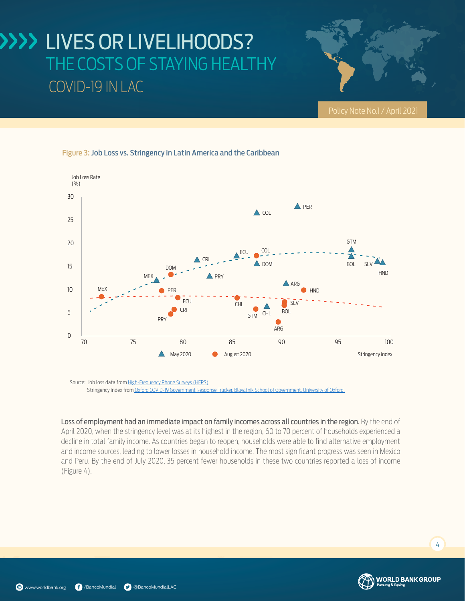

#### Figure 3: Job Loss vs. Stringency in Latin America and the Caribbean



Source: Job loss data from [High-Frequency Phone Surveys \(HFPS\)](https://www.worldbank.org/en/data/interactive/2020/11/11/covid-19-high-frequency-monitoring-dashboard) Stringency index from [Oxford COVID-19 Government Response Tracker, Blavatnik School of Government, University of Oxford.](https://www.bsg.ox.ac.uk/research/research-projects/covid-19-government-response-tracker)

Loss of employment had an immediate impact on family incomes across all countries in the region. By the end of April 2020, when the stringency level was at its highest in the region, 60 to 70 percent of households experienced a decline in total family income. As countries began to reopen, households were able to find alternative employment acture in total ranny meditering codinties degain to respent to respend the able to this attentance employment<br>and income sources, leading to lower losses in household income. The most significant progress was seen in Mexi and Peru. By the end of July 2020, 35 percent fewer households in these two countries reported a loss of income (Figure 4). PER



4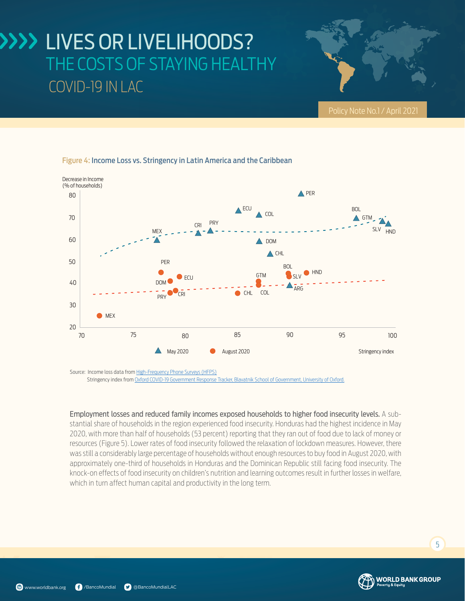### $I<sub>0</sub>$ THE COSTS OF STAYING HEALTHY  $\mathbf{C}$ ECU PER LIVES OR LIVELIHOODS?



HND

#### Figure 4: Income Loss vs. Stringency in Latin America and the Caribbean

Source: Income loss data from [High-Frequency Phone Surveys \(HFPS\)](https://www.worldbank.org/en/data/interactive/2020/11/11/covid-19-high-frequency-monitoring-dashboard) Stringency index from [Oxford COVID-19 Government Response Tracker, Blavatnik School of Government, University of Oxford.](https://www.bsg.ox.ac.uk/research/research-projects/covid-19-government-response-tracker)

 $\triangle$  May 2020

**CDI** 

PRY

Employment losses and reduced family incomes exposed households to higher food insecurity levels. A substantial share of households in the region experienced food insecurity. Honduras had the highest incidence in May 2020, with more than half of households (53 percent) reporting that they ran out of food due to lack of money or resources (Figure 5). Lower rates of food insecurity followed the relaxation of lockdown measures. However, there 60 was still a considerably large percentage of households without enough resources to buy food in August 2020, with approximately one-third of households in Honduras and the Dominican Republic still facing food insecurity. The knock-on effects of food insecurity on children's nutrition and learning outcomes result in further losses in welfare, which in turn affect human capital and productivity in the long term.

CHL

70 75 80 85 90 95 100

August 2020

CHL COL

Stringency index

5

20

30

**MEX** 

40

50

60

70

80

Decrease in Income (% of households)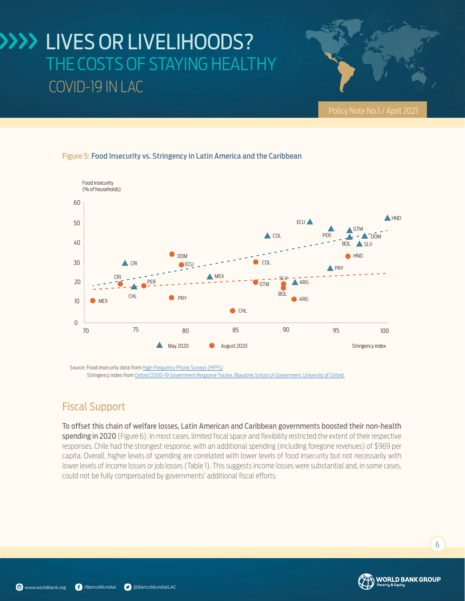## IL LIVES OR LIVELIHOODS? COVID-19 IN LAC THE COSTS OF STAYING HEALTHY

#### Figure 5: Food Insecurity vs. Stringency in Latin America and the Caribbean



Source: Food insecurity data from [High-Frequency Phone Surveys \(HFPS](https://www.worldbank.org/en/data/interactive/2020/11/11/covid-19-high-frequency-monitoring-dashboard)) Stringency index from [Oxford COVID-19 Government Response Tracker, Blavatnik School of Government, University of Oxford.](https://www.bsg.ox.ac.uk/research/research-projects/covid-19-government-response-tracker)

### Fiscal Support

To offset this chain of welfare losses, Latin American and Caribbean governments boosted their non-health **spending in 2020** (Figure 6). In most cases, limited fiscal space and flexibility restricted the extent of their respective responses. Chile had the strongest response, with an additional spending (including foregone revenues) of \$969 per capita. Overall, higher levels of spending are correlated with lower levels of food insecurity but not necessarily with lower levels of income losses or job losses (Table 1). This suggests income losses were substantial and, in some cases, could not be fully compensated by governments' additional fiscal efforts.



Policy Note No.1 / April 2021

HND

 $\overline{\phantom{a}}$  6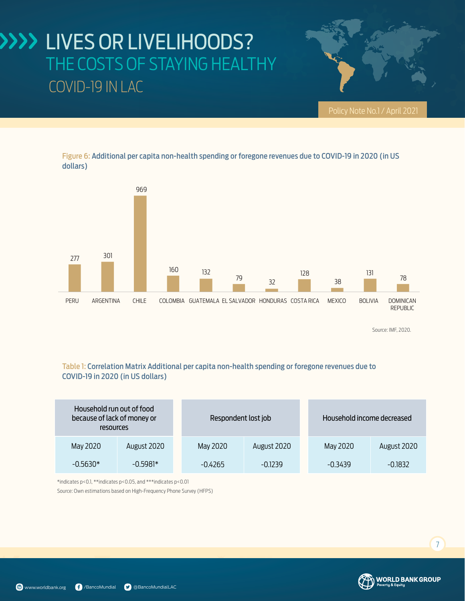### 4 VEC OD I THE COSTS OF STAYING HEALTHY THE COSTS OF STAYING HEALTHY LIVES OR LIVELIHOODS? COVID-19 IN LAC



Figure 6: Additional per capita non-health spending or foregone revenues due to COVID-19 in 2020 (in US dollars)



Source: IMF, 2020.

#### Table 1: Correlation Matrix Additional per capita non-health spending or foregone revenues due to COVID-19 in 2020 (in US dollars)

| Household run out of food<br>because of lack of money or<br>resources |             | Respondent lost job |             |  | Household income decreased |             |
|-----------------------------------------------------------------------|-------------|---------------------|-------------|--|----------------------------|-------------|
| May 2020                                                              | August 2020 | May 2020            | August 2020 |  | May 2020                   | August 2020 |
| $-0.5630*$                                                            | $-0.5981*$  | $-0.4265$           | $-0.1239$   |  | $-0.3439$                  | $-0.1832$   |

\*indicates p<0.1, \*\*indicates p<0.05, and \*\*\*indicates p<0.01

Source: Own estimations based on High-Frequency Phone Survey (HFPS)



7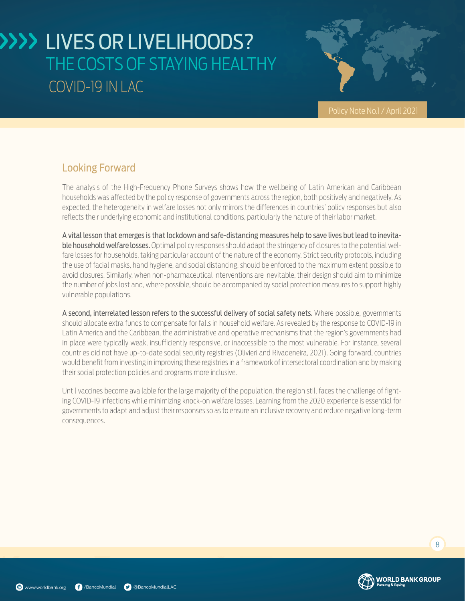

Policy Note No.1 / April 2021

### Looking Forward

The analysis of the High-Frequency Phone Surveys shows how the wellbeing of Latin American and Caribbean households was affected by the policy response of governments across the region, both positively and negatively. As expected, the heterogeneity in welfare losses not only mirrors the differences in countries' policy responses but also reflects their underlying economic and institutional conditions, particularly the nature of their labor market.

A vital lesson that emerges is that lockdown and safe-distancing measures help to save lives but lead to inevitable household welfare losses. Optimal policy responses should adapt the stringency of closures to the potential welfare losses for households, taking particular account of the nature of the economy. Strict security protocols, including the use of facial masks, hand hygiene, and social distancing, should be enforced to the maximum extent possible to avoid closures. Similarly, when non-pharmaceutical interventions are inevitable, their design should aim to minimize the number of jobs lost and, where possible, should be accompanied by social protection measures to support highly vulnerable populations.

A second, interrelated lesson refers to the successful delivery of social safety nets. Where possible, governments should allocate extra funds to compensate for falls in household welfare. As revealed by the response to COVID-19 in Latin America and the Caribbean, the administrative and operative mechanisms that the region's governments had in place were typically weak, insufficiently responsive, or inaccessible to the most vulnerable. For instance, several countries did not have up-to-date social security registries (Olivieri and Rivadeneira, 2021). Going forward, countries would benefit from investing in improving these registries in a framework of intersectoral coordination and by making their social protection policies and programs more inclusive.

Until vaccines become available for the large majority of the population, the region still faces the challenge of fighting COVID-19 infections while minimizing knock-on welfare losses. Learning from the 2020 experience is essential for governments to adapt and adjust their responses so as to ensure an inclusive recovery and reduce negative long-term consequences.



8